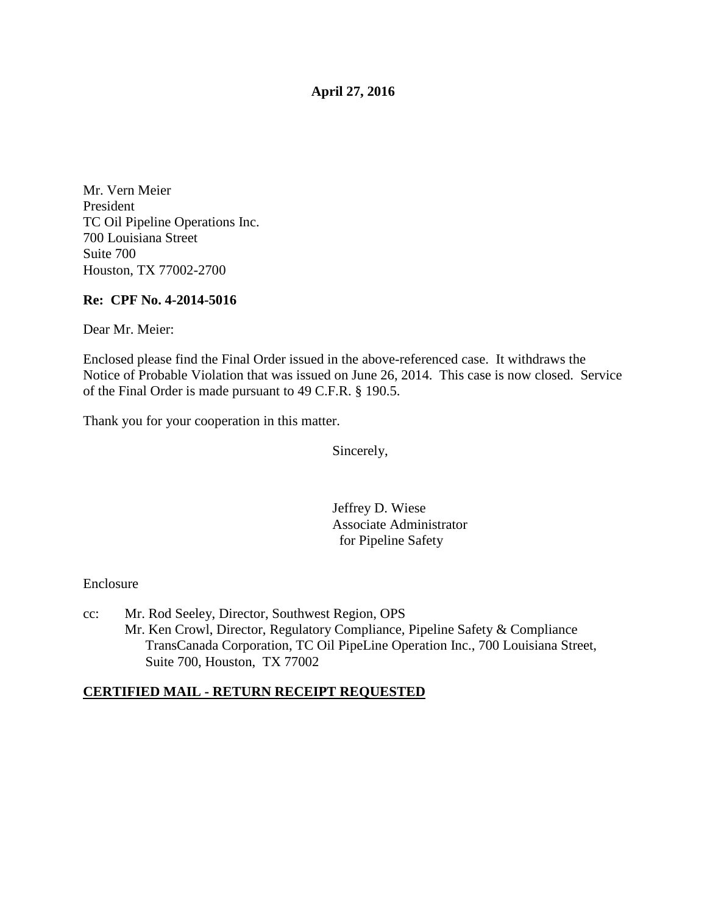**April 27, 2016** 

Mr. Vern Meier President TC Oil Pipeline Operations Inc. 700 Louisiana Street Suite 700 Houston, TX 77002-2700

#### **Re: CPF No. 4-2014-5016**

Dear Mr. Meier:

Enclosed please find the Final Order issued in the above-referenced case. It withdraws the Notice of Probable Violation that was issued on June 26, 2014. This case is now closed. Service of the Final Order is made pursuant to 49 C.F.R. § 190.5.

Thank you for your cooperation in this matter.

Sincerely,

Jeffrey D. Wiese Associate Administrator for Pipeline Safety

Enclosure

cc: Mr. Rod Seeley, Director, Southwest Region, OPS Mr. Ken Crowl, Director, Regulatory Compliance, Pipeline Safety & Compliance TransCanada Corporation, TC Oil PipeLine Operation Inc., 700 Louisiana Street, Suite 700, Houston, TX 77002

# **CERTIFIED MAIL - RETURN RECEIPT REQUESTED**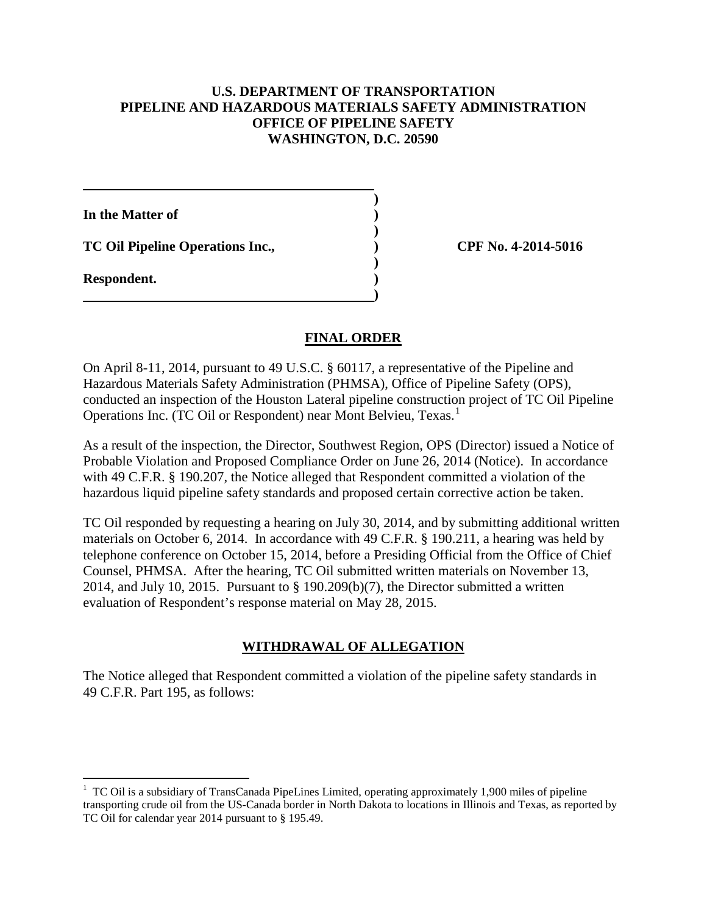#### **U.S. DEPARTMENT OF TRANSPORTATION PIPELINE AND HAZARDOUS MATERIALS SAFETY ADMINISTRATION OFFICE OF PIPELINE SAFETY WASHINGTON, D.C. 20590**

**)** 

**)** 

**)** 

**)** 

**In the Matter of )** 

**TC Oil Pipeline Operations Inc., ) CPF No. 4-2014-5016** 

**Respondent. )** 

 $\overline{a}$ 

## **FINAL ORDER**

On April 8-11, 2014, pursuant to 49 U.S.C. § 60117, a representative of the Pipeline and Hazardous Materials Safety Administration (PHMSA), Office of Pipeline Safety (OPS), conducted an inspection of the Houston Lateral pipeline construction project of TC Oil Pipeline Operations Inc. (TC Oil or Respondent) near Mont Belvieu, Texas.<sup>1</sup>

As a result of the inspection, the Director, Southwest Region, OPS (Director) issued a Notice of Probable Violation and Proposed Compliance Order on June 26, 2014 (Notice). In accordance with 49 C.F.R. § 190.207, the Notice alleged that Respondent committed a violation of the hazardous liquid pipeline safety standards and proposed certain corrective action be taken.

TC Oil responded by requesting a hearing on July 30, 2014, and by submitting additional written materials on October 6, 2014. In accordance with 49 C.F.R. § 190.211, a hearing was held by telephone conference on October 15, 2014, before a Presiding Official from the Office of Chief Counsel, PHMSA. After the hearing, TC Oil submitted written materials on November 13, 2014, and July 10, 2015. Pursuant to § 190.209(b)(7), the Director submitted a written evaluation of Respondent's response material on May 28, 2015.

# **WITHDRAWAL OF ALLEGATION**

The Notice alleged that Respondent committed a violation of the pipeline safety standards in 49 C.F.R. Part 195, as follows:

<sup>&</sup>lt;sup>1</sup> TC Oil is a subsidiary of TransCanada PipeLines Limited, operating approximately 1,900 miles of pipeline transporting crude oil from the US-Canada border in North Dakota to locations in Illinois and Texas, as reported by TC Oil for calendar year 2014 pursuant to § 195.49.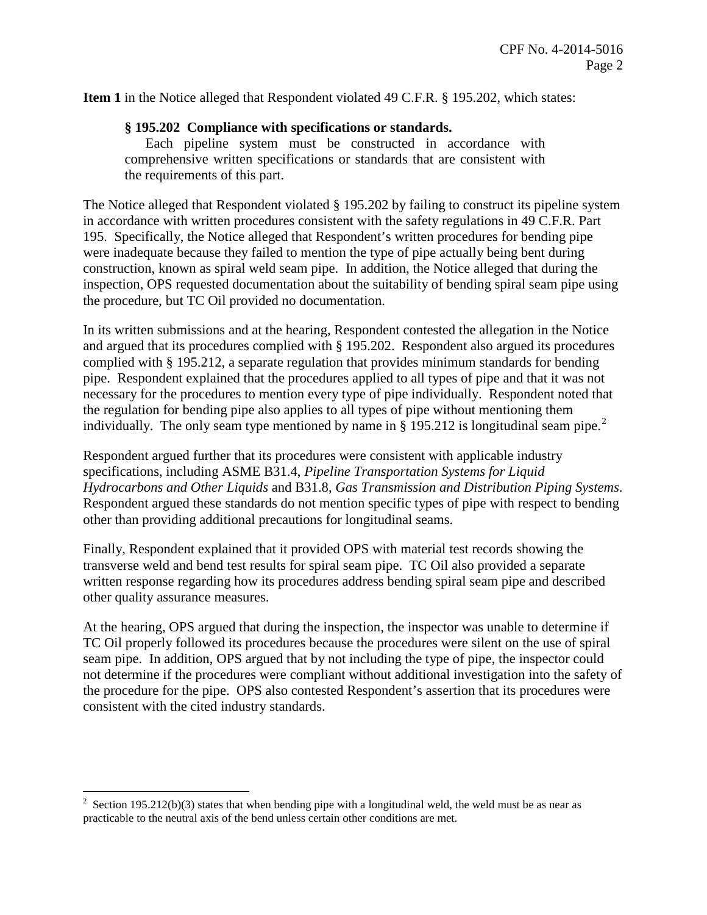**Item 1** in the Notice alleged that Respondent violated 49 C.F.R. § 195.202, which states:

#### **§ 195.202 Compliance with specifications or standards.**

Each pipeline system must be constructed in accordance with comprehensive written specifications or standards that are consistent with the requirements of this part.

The Notice alleged that Respondent violated § 195.202 by failing to construct its pipeline system in accordance with written procedures consistent with the safety regulations in 49 C.F.R. Part 195. Specifically, the Notice alleged that Respondent's written procedures for bending pipe were inadequate because they failed to mention the type of pipe actually being bent during construction, known as spiral weld seam pipe. In addition, the Notice alleged that during the inspection, OPS requested documentation about the suitability of bending spiral seam pipe using the procedure, but TC Oil provided no documentation.

In its written submissions and at the hearing, Respondent contested the allegation in the Notice and argued that its procedures complied with § 195.202. Respondent also argued its procedures complied with § 195.212, a separate regulation that provides minimum standards for bending pipe. Respondent explained that the procedures applied to all types of pipe and that it was not necessary for the procedures to mention every type of pipe individually. Respondent noted that the regulation for bending pipe also applies to all types of pipe without mentioning them individually. The only seam type mentioned by name in  $\S$  195.212 is longitudinal seam pipe.<sup>2</sup>

Respondent argued further that its procedures were consistent with applicable industry specifications, including ASME B31.4, *Pipeline Transportation Systems for Liquid Hydrocarbons and Other Liquids* and B31.8, *Gas Transmission and Distribution Piping Systems*. Respondent argued these standards do not mention specific types of pipe with respect to bending other than providing additional precautions for longitudinal seams.

Finally, Respondent explained that it provided OPS with material test records showing the transverse weld and bend test results for spiral seam pipe. TC Oil also provided a separate written response regarding how its procedures address bending spiral seam pipe and described other quality assurance measures.

At the hearing, OPS argued that during the inspection, the inspector was unable to determine if TC Oil properly followed its procedures because the procedures were silent on the use of spiral seam pipe. In addition, OPS argued that by not including the type of pipe, the inspector could not determine if the procedures were compliant without additional investigation into the safety of the procedure for the pipe. OPS also contested Respondent's assertion that its procedures were consistent with the cited industry standards.

 $\overline{a}$ 

<sup>&</sup>lt;sup>2</sup> Section 195.212(b)(3) states that when bending pipe with a longitudinal weld, the weld must be as near as practicable to the neutral axis of the bend unless certain other conditions are met.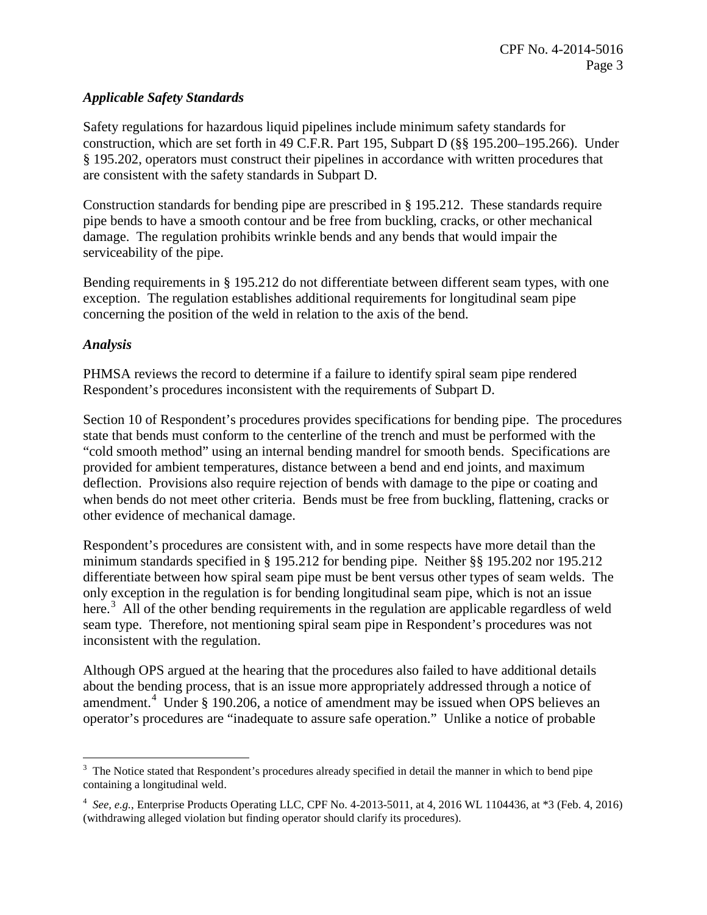# *Applicable Safety Standards*

Safety regulations for hazardous liquid pipelines include minimum safety standards for construction, which are set forth in 49 C.F.R. Part 195, Subpart D (§§ 195.200–195.266). Under § 195.202, operators must construct their pipelines in accordance with written procedures that are consistent with the safety standards in Subpart D.

Construction standards for bending pipe are prescribed in § 195.212. These standards require pipe bends to have a smooth contour and be free from buckling, cracks, or other mechanical damage. The regulation prohibits wrinkle bends and any bends that would impair the serviceability of the pipe.

Bending requirements in § 195.212 do not differentiate between different seam types, with one exception. The regulation establishes additional requirements for longitudinal seam pipe concerning the position of the weld in relation to the axis of the bend.

## *Analysis*

PHMSA reviews the record to determine if a failure to identify spiral seam pipe rendered Respondent's procedures inconsistent with the requirements of Subpart D.

Section 10 of Respondent's procedures provides specifications for bending pipe. The procedures state that bends must conform to the centerline of the trench and must be performed with the "cold smooth method" using an internal bending mandrel for smooth bends. Specifications are provided for ambient temperatures, distance between a bend and end joints, and maximum deflection. Provisions also require rejection of bends with damage to the pipe or coating and when bends do not meet other criteria. Bends must be free from buckling, flattening, cracks or other evidence of mechanical damage.

Respondent's procedures are consistent with, and in some respects have more detail than the minimum standards specified in § 195.212 for bending pipe. Neither §§ 195.202 nor 195.212 differentiate between how spiral seam pipe must be bent versus other types of seam welds. The only exception in the regulation is for bending longitudinal seam pipe, which is not an issue here.<sup>3</sup> All of the other bending requirements in the regulation are applicable regardless of weld seam type. Therefore, not mentioning spiral seam pipe in Respondent's procedures was not inconsistent with the regulation.

Although OPS argued at the hearing that the procedures also failed to have additional details about the bending process, that is an issue more appropriately addressed through a notice of amendment.<sup>4</sup> Under § 190.206, a notice of amendment may be issued when OPS believes an operator's procedures are "inadequate to assure safe operation." Unlike a notice of probable

 $\overline{a}$ <sup>3</sup> The Notice stated that Respondent's procedures already specified in detail the manner in which to bend pipe containing a longitudinal weld.

<sup>4</sup> *See, e.g.*, Enterprise Products Operating LLC, CPF No. 4-2013-5011, at 4, 2016 WL 1104436, at \*3 (Feb. 4, 2016) (withdrawing alleged violation but finding operator should clarify its procedures).